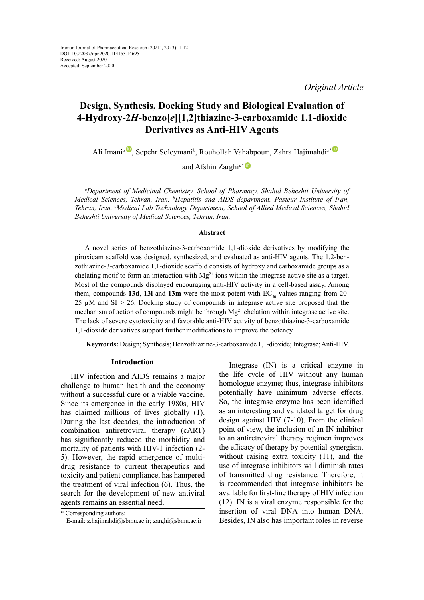*Original Article*

# **Design, Synthesis, Docking Study and Biological Evaluation of 4-Hydroxy-2***H***-benzo[***e***][1,2]thiazine-3-carboxamide 1,1-dioxide Derivatives as Anti-HIV Agents**

Ali Imani*[a](https://orcid.org/0000-0002-1824-4412)* , Sepehr Soleymani*<sup>b</sup>* , Rouhollah Vahabpour*<sup>c</sup>* , Zahra Hajimahdi*a[\\*](https://orcid.org/0000-0001-5866-4895)*

and Afshin Zarghi*a[\\*](https://orcid.org/0000-0003-2477-9533)*

*a Department of Medicinal Chemistry, School of Pharmacy, Shahid Beheshti University of Medical Sciences, Tehran, Iran. b Hepatitis and AIDS department, Pasteur Institute of Iran, Tehran, Iran. c Medical Lab Technology Department, School of Allied Medical Sciences, Shahid Beheshti University of Medical Sciences, Tehran, Iran.*

#### **Abstract**

A novel series of benzothiazine-3-carboxamide 1,1-dioxide derivatives by modifying the piroxicam scaffold was designed, synthesized, and evaluated as anti-HIV agents. The 1,2-benzothiazine-3-carboxamide 1,1-dioxide scaffold consists of hydroxy and carboxamide groups as a chelating motif to form an interaction with  $Mg^{2+}$  ions within the integrase active site as a target. Most of the compounds displayed encouraging anti-HIV activity in a cell-based assay. Among them, compounds **13d**, **13l** and **13m** were the most potent with  $EC_{50}$  values ranging from 20-25 µM and SI > 26. Docking study of compounds in integrase active site proposed that the mechanism of action of compounds might be through  $Mg^{2+}$  chelation within integrase active site. The lack of severe cytotoxicity and favorable anti-HIV activity of benzothiazine-3-carboxamide 1,1-dioxide derivatives support further modifications to improve the potency.

**Keywords:** Design; Synthesis; Benzothiazine-3-carboxamide 1,1-dioxide; Integrase; Anti-HIV.

#### **Introduction**

HIV infection and AIDS remains a major challenge to human health and the economy without a successful cure or a viable vaccine. Since its emergence in the early 1980s, HIV has claimed millions of lives globally (1). During the last decades, the introduction of combination antiretroviral therapy (cART) has significantly reduced the morbidity and mortality of patients with HIV-1 infection (2- 5). However, the rapid emergence of multidrug resistance to current therapeutics and toxicity and patient compliance, has hampered the treatment of viral infection (6). Thus, the search for the development of new antiviral agents remains an essential need.

Integrase (IN) is a critical enzyme in the life cycle of HIV without any human homologue enzyme; thus, integrase inhibitors potentially have minimum adverse effects. So, the integrase enzyme has been identified as an interesting and validated target for drug design against HIV (7-10). From the clinical point of view, the inclusion of an IN inhibitor to an antiretroviral therapy regimen improves the efficacy of therapy by potential synergism, without raising extra toxicity (11), and the use of integrase inhibitors will diminish rates of transmitted drug resistance. Therefore, it is recommended that integrase inhibitors be available for first-line therapy of HIV infection (12). IN is a viral enzyme responsible for the insertion of viral DNA into human DNA. Besides, IN also has important roles in reverse

<sup>\*</sup> Corresponding authors:

E-mail: z.hajimahdi@sbmu.ac.ir; zarghi@sbmu.ac.ir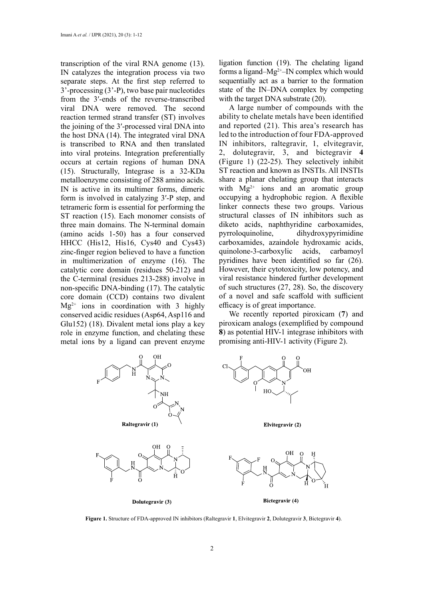transcription of the viral RNA genome (13). IN catalyzes the integration process via two separate steps. At the first step referred to 3'-processing (3'-P), two base pair nucleotides from the 3′-ends of the reverse-transcribed viral DNA were removed. The second reaction termed strand transfer (ST) involves the joining of the 3′-processed viral DNA into the host DNA (14). The integrated viral DNA is transcribed to RNA and then translated into viral proteins. Integration preferentially occurs at certain regions of human DNA (15). Structurally, Integrase is a 32-KDa metalloenzyme consisting of 288 amino acids. IN is active in its multimer forms, dimeric form is involved in catalyzing 3′-P step, and tetrameric form is essential for performing the ST reaction (15). Each monomer consists of three main domains. The N-terminal domain (amino acids 1-50) has a four conserved HHCC (His12, His16, Cys40 and Cys43) zinc-finger region believed to have a function in multimerization of enzyme (16). The catalytic core domain (residues 50-212) and the C-terminal (residues 213-288) involve in non-specific DNA-binding (17). The catalytic core domain (CCD) contains two divalent  $Mg^{2+}$  ions in coordination with 3 highly conserved acidic residues (Asp64, Asp116 and Glu152) (18). Divalent metal ions play a key role in enzyme function, and chelating these metal ions by a ligand can prevent enzyme ligation function (19). The chelating ligand forms a ligand–Mg2+–IN complex which would sequentially act as a barrier to the formation state of the IN–DNA complex by competing with the target DNA substrate (20).

A large number of compounds with the ability to chelate metals have been identified and reported (21). This area's research has led to the introduction of four FDA-approved IN inhibitors, raltegravir, 1, elvitegravir, 2, dolutegravir, 3, and bictegravir **4** (Figure 1) (22-25). They selectively inhibit ST reaction and known as INSTIs. All INSTIs share a planar chelating group that interacts with  $Mg^{2+}$  ions and an aromatic group occupying a hydrophobic region. A flexible linker connects these two groups. Various structural classes of IN inhibitors such as diketo acids, naphthyridine carboxamides, pyrroloquinoline, dihydroxypyrimidine carboxamides, azaindole hydroxamic acids, quinolone-3-carboxylic acids, carbamoyl pyridines have been identified so far (26). However, their cytotoxicity, low potency, and viral resistance hindered further development of such structures (27, 28). So, the discovery of a novel and safe scaffold with sufficient efficacy is of great importance.

We recently reported piroxicam (**7**) and piroxicam analogs (exemplified by compound **8**) as potential HIV-1 integrase inhibitors with promising anti-HIV-1 activity (Figure 2).



Dolutegravir (3)

Bictegravir (4)

**Figure 1.** Structure of FDA-approved IN inhibitors (Raltegravir **1**, Elvitegravir **2**, Dolutegravir **3**, Bictegravir **4**).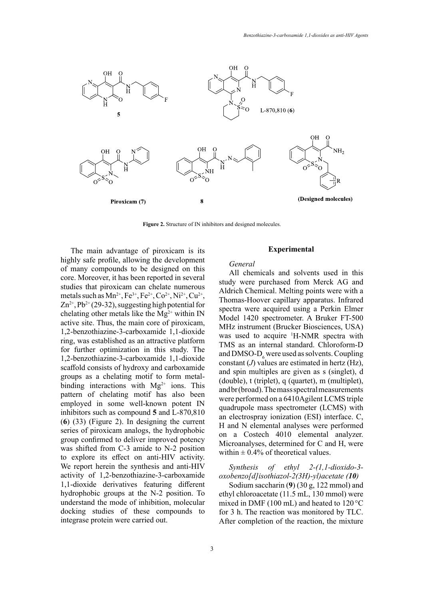

**Figure 2.** Structure of IN inhibitors and designed molecules.

The main advantage of piroxicam is its highly safe profile, allowing the development of many compounds to be designed on this core. Moreover, it has been reported in several studies that piroxicam can chelate numerous metals such as  $Mn^{2+}$ , Fe<sup>3+</sup>, Fe<sup>2+</sup>, Co<sup>2+</sup>, Ni<sup>2+</sup>, Cu<sup>2+</sup>,  $Zn^{2+}$ , Pb<sup>2+</sup> (29-32), suggesting high potential for chelating other metals like the  $Mg^{2+}$  within IN active site. Thus, the main core of piroxicam, 1,2-benzothiazine-3-carboxamide 1,1-dioxide ring, was established as an attractive platform for further optimization in this study. The 1,2-benzothiazine-3-carboxamide 1,1-dioxide scaffold consists of hydroxy and carboxamide groups as a chelating motif to form metalbinding interactions with  $Mg^{2+}$  ions. This pattern of chelating motif has also been employed in some well-known potent IN inhibitors such as compound **5** and L-870,810 (**6**) (33) (Figure 2). In designing the current series of piroxicam analogs, the hydrophobic group confirmed to deliver improved potency was shifted from C-3 amide to N-2 position to explore its effect on anti-HIV activity. We report herein the synthesis and anti-HIV activity of 1,2-benzothiazine-3-carboxamide 1,1-dioxide derivatives featuring different hydrophobic groups at the N-2 position. To understand the mode of inhibition, molecular docking studies of these compounds to integrase protein were carried out.

### **Experimental**

### *General*

All chemicals and solvents used in this study were purchased from Merck AG and Aldrich Chemical. Melting points were with a Thomas-Hoover capillary apparatus. Infrared spectra were acquired using a Perkin Elmer Model 1420 spectrometer. A Bruker FT-500 MHz instrument (Brucker Biosciences, USA) was used to acquire <sup>1</sup>H-NMR spectra with TMS as an internal standard. Chloroform-D and  $\text{DMSO-D}_6$  were used as solvents. Coupling constant (*J*) values are estimated in hertz (Hz), and spin multiples are given as s (singlet), d (double), t (triplet), q (quartet), m (multiplet), and br (broad). The mass spectral measurements were performed on a 6410Agilent LCMS triple quadrupole mass spectrometer (LCMS) with an electrospray ionization (ESI) interface. C, H and N elemental analyses were performed on a Costech 4010 elemental analyzer. Microanalyses, determined for C and H, were within  $\pm$  0.4% of theoretical values.

*Synthesis of ethyl 2-(1,1-dioxido-3 oxobenzo[d]isothiazol-2(3H)-yl)acetate (10)*

Sodium saccharin (**9**) (30 g, 122 mmol) and ethyl chloroacetate (11.5 mL, 130 mmol) were mixed in DMF (100 mL) and heated to 120 °C for 3 h. The reaction was monitored by TLC. After completion of the reaction, the mixture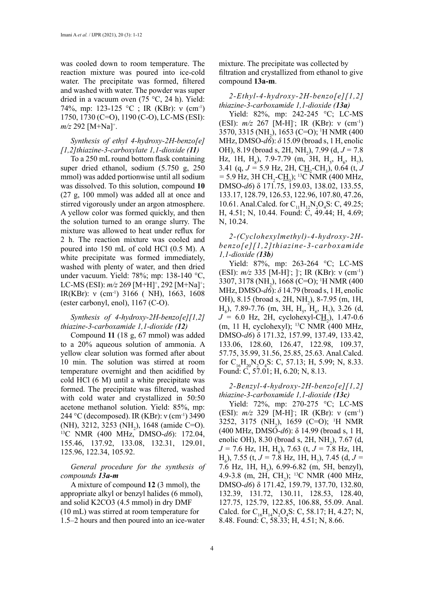was cooled down to room temperature. The reaction mixture was poured into ice-cold water. The precipitate was formed, filtered and washed with water. The powder was super dried in a vacuum oven (75 °C, 24 h). Yield: 74%, mp: 123-125 °C ; IR (KBr): ν (cm-1) 1750, 1730 (C=O), 1190 (C-O), LC-MS (ESI): *m/z* 292 [M+Na]<sup>+</sup> .

# *Synthesis of ethyl 4-hydroxy-2H-benzo[e] [1,2]thiazine-3-carboxylate 1,1-dioxide (11)*

To a 250 mL round bottom flask containing super dried ethanol, sodium (5.750 g, 250 mmol) was added portionwise until all sodium was dissolved. To this solution, compound **10** (27 g, 100 mmol) was added all at once and stirred vigorously under an argon atmosphere. A yellow color was formed quickly, and then the solution turned to an orange slurry. The mixture was allowed to heat under reflux for 2 h. The reaction mixture was cooled and poured into 150 mL of cold HCl (0.5 M). A white precipitate was formed immediately, washed with plenty of water, and then dried under vacuum. Yield: 78%; mp: 138-140 °C, LC-MS (ESI): *m/z* 269 [M+H]<sup>+</sup>, 292 [M+Na]<sup>+</sup>; IR(KBr): ν (cm-1) 3166 ( NH), 1663, 1608 (ester carbonyl, enol), 1167 (C-O).

### *Synthesis of 4-hydroxy-2H-benzo[e][1,2] thiazine-3-carboxamide 1,1-dioxide (12)*

Compound **11** (18 g, 67 mmol) was added to a 20% aqueous solution of ammonia. A yellow clear solution was formed after about 10 min. The solution was stirred at room temperature overnight and then acidified by cold HCl (6 M) until a white precipitate was formed. The precipitate was filtered, washed with cold water and crystallized in 50:50 acetone methanol solution. Yield: 85%, mp: 244 °C (decomposed). IR (KBr): ν (cm-1) 3490 (NH), 3212, 3253 (NH<sub>2</sub>), 1648 (amide C=O). <sup>13</sup>C NMR (400 MHz, DMSO-d6): 172.04, 155.46, 137.92, 133.08, 132.31, 129.01, 125.96, 122.34, 105.92.

*General procedure for the synthesis of compounds 13a-m*

A mixture of compound **12** (3 mmol), the appropriate alkyl or benzyl halides (6 mmol), and solid K2CO3 (4.5 mmol) in dry DMF (10 mL) was stirred at room temperature for 1.5–2 hours and then poured into an ice-water mixture. The precipitate was collected by filtration and crystallized from ethanol to give compound **13a-m**.

### *2-Ethyl-4-hydroxy-2H-benzo[e][1,2] thiazine-3-carboxamide 1,1-dioxide (13a)*

Yield: 82%, mp: 242-245 °C; LC-MS (ESI): *m/z* 267 [M-H]; IR (KBr): ν (cm<sup>-1</sup>) 3570, 3315 (NH<sub>2</sub>), 1653 (C=O); <sup>1</sup>H NMR (400 MHz, DMSO-*d6*): *δ* 15.09 (broad s, 1 H, enolic OH), 8.19 (broad s, 2H, NH<sub>2</sub>), 7.99 (d,  $J = 7.8$ ) Hz, 1H, H<sub>8</sub>), 7.9-7.79 (m, 3H, H<sub>5</sub>, H<sub>6</sub>, H<sub>7</sub>), 3.41 (q,  $J = 5.9$  Hz, 2H,  $\underline{CH}_2$ -CH<sub>3</sub>), 0.64 (t, *J*  $=$  5.9 Hz, 3H CH<sub>2</sub>-C<u>H</u><sub>3</sub>); <sup>13</sup>C NMR (400 MHz, DMSO-*d6*) δ 171.75, 159.03, 138.02, 133.55, 133.17, 128.79, 126.53, 122.96, 107.80, 47.26, 10.61. Anal.Calcd. for  $C_{11}H_{12}N_2O_4S$ : C, 49.25; H, 4.51; N, 10.44. Found: C, 49.44; H, 4.69; N, 10.24.

*2-(Cyclohexylmethyl)-4-hydroxy-2Hbenzo[e][1,2]thiazine-3-carboxamide 1,1-dioxide (13b)*

Yield: 87%, mp: 263-264 °C; LC-MS (ESI): *m/z* 335 [M-H]; ]; IR (KBr): ν (cm<sup>-1</sup>) 3307, 3178 (NH<sub>2</sub>), 1668 (C=O); <sup>1</sup>H NMR (400 MHz, DMSO-*d6*): *δ* 14.79 (broad s, 1 H, enolic OH), 8.15 (broad s, 2H, NH<sub>2</sub>), 8-7.95 (m, 1H,  $H_8$ ), 7.89-7.76 (m, 3H,  $H_5$ ,  $H_6$ ,  $H_7$ ), 3.26 (d,  $J = 6.0$  Hz, 2H, cyclohexyl-C<sub>H<sub>2</sub></sub>), 1.47-0.6 (m, 11 H, cyclohexyl); 13C NMR (400 MHz, DMSO-*d6*) δ 171.32, 157.99, 137.49, 133.42, 133.06, 128.60, 126.47, 122.98, 109.37, 57.75, 35.99, 31.56, 25.85, 25.63. Anal.Calcd. for  $C_{16}H_{20}N_2O_4S$ : C, 57.13; H, 5.99; N, 8.33. Found: C, 57.01; H, 6.20; N, 8.13.

### *2-Benzyl-4-hydroxy-2H-benzo[e][1,2] thiazine-3-carboxamide 1,1-dioxide (13c)*

Yield: 72%, mp: 270-275 °C; LC-MS (ESI): *m/z* 329 [M-H]; IR (KBr): ν (cm<sup>-1</sup>) 3252, 3175 (NH<sub>2</sub>), 1659 (C=O); <sup>1</sup>H NMR (400 MHz, DMSO-*d6*): δ 14.99 (broad s, 1 H, enolic OH), 8.30 (broad s, 2H,  $NH_2$ ), 7.67 (d,  $J = 7.6$  Hz, 1H, H<sub>8</sub>), 7.63 (t,  $J = 7.8$  Hz, 1H,  $H_6$ ), 7.55 (t, *J* = 7.8 Hz, 1H, H<sub>7</sub>), 7.45 (d, *J* = 7.6 Hz, 1H,  $H_5$ ), 6.99-6.82 (m, 5H, benzyl), 4.9-3.8 (m, 2H, CH<sub>2</sub>); <sup>13</sup>C NMR (400 MHz, DMSO-*d6*) δ 171.42, 159.79, 137.70, 132.80, 132.39, 131.72, 130.11, 128.53, 128.40, 127.75, 125.79, 122.85, 106.88, 55.09. Anal. Calcd. for  $C_{16}H_{14}N_2O_4S$ : C, 58.17; H, 4.27; N, 8.48. Found: C, 58.33; H, 4.51; N, 8.66.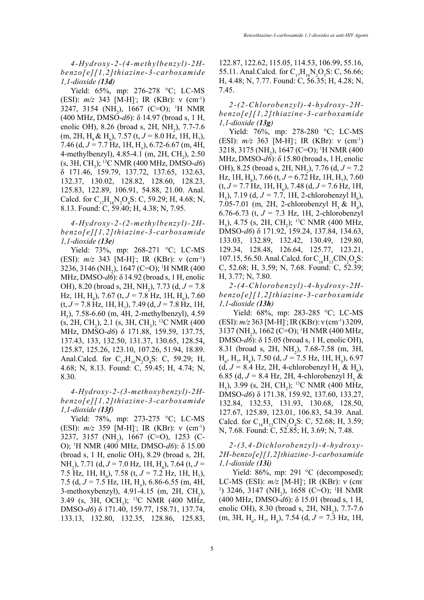*4-Hydroxy-2-(4-methylbenzyl)-2Hbenzo[e][1,2]thiazine-3-carboxamide 1,1-dioxide (13d)*

Yield: 65%, mp: 276-278 °C; LC-MS (ESI): *m/z* 343 [M-H]; IR (KBr): ν (cm<sup>-1</sup>) 3247, 3154 (NH<sub>2</sub>), 1667 (C=O); <sup>1</sup>H NMR (400 MHz, DMSO-*d6*): δ 14.97 (broad s, 1 H, enolic OH), 8.26 (broad s, 2H,  $NH_2$ ), 7.7-7.6  $(m, 2H, H<sub>8</sub> \& H<sub>6</sub>), 7.57 (t, J = 8.0 Hz, 1H, H<sub>7</sub>),$ 7.46 (d,  $J = 7.7$  Hz, 1H, H<sub>5</sub>), 6.72-6.67 (m, 4H, 4-methylbenzyl),  $4.85-4.1$  (m,  $2H$ , CH<sub>2</sub>),  $2.50$ (s, 3H, CH3 ); 13C NMR (400 MHz, DMSO-*d6*) δ 171.46, 159.79, 137.72, 137.65, 132.63, 132.37, 130.02, 128.82, 128.60, 128.23, 125.83, 122.89, 106.91, 54.88, 21.00. Anal. Calcd. for  $C_{17}H_{16}N_2O_4S$ : C, 59.29; H, 4.68; N, 8.13. Found: C, 59.40; H, 4.38; N, 7.95.

# *4-Hydroxy-2-(2-methylbenzyl)-2Hbenzo[e][1,2]thiazine-3-carboxamide 1,1-dioxide (13e)*

Yield: 73%, mp: 268-271 °C; LC-MS (ESI): *m/z* 343 [M-H]; IR (KBr): ν (cm<sup>-1</sup>) 3236, 3146 (NH<sub>2</sub>), 1647 (C=O); <sup>1</sup>H NMR (400 MHz, DMSO-*d6*): δ 14.92 (broad s, 1 H, enolic OH), 8.20 (broad s, 2H, NH<sub>2</sub>), 7.73 (d,  $J = 7.8$ ) Hz, 1H, H<sub>8</sub>), 7.67 (t,  $J = 7.8$  Hz, 1H, H<sub>6</sub>), 7.60  $(t, J = 7.8 \text{ Hz}, 1\text{H}, \text{H}_2)$ , 7.49  $(d, J = 7.8 \text{ Hz}, 1\text{H},$  $H_5$ ), 7.58-6.60 (m, 4H, 2-methylbenzyl), 4.59  $(s, 2H, CH<sub>2</sub>), 2.1 (s, 3H, CH<sub>3</sub>);$ <sup>13</sup>C NMR (400 MHz, DMSO-*d6*) δ 171.88, 159.59, 137.75, 137.43, 133, 132.50, 131.37, 130.65, 128.54, 125.87, 125.26, 123.10, 107.26, 51.94, 18.89. Anal.Calcd. for  $C_{17}H_{16}N_2O_4S$ : C, 59.29; H, 4.68; N, 8.13. Found: C, 59.45; H, 4.74; N, 8.30.

*4-Hydroxy-2-(3-methoxybenzyl)-2Hbenzo[e][1,2]thiazine-3-carboxamide 1,1-dioxide (13f)*

Yield: 78%, mp: 273-275 °C; LC-MS (ESI): *m/z* 359 [M-H]<sup>-</sup>; IR (KBr): ν (cm<sup>-1</sup>) 3237, 3157 (NH<sub>2</sub>), 1667 (C=O), 1253 (C-O); 1 H NMR (400 MHz, DMSO-*d6*): δ 15.00 (broad s, 1 H, enolic OH), 8.29 (broad s, 2H, NH<sub>2</sub>), 7.71 (d, *J* = 7.0 Hz, 1H, H<sub>8</sub>), 7.64 (t, *J* = 7.5 Hz, 1H, H<sub>6</sub>), 7.58 (t,  $J = 7.2$  Hz, 1H, H<sub>7</sub>), 7.5 (d,  $J = 7.5$  Hz, 1H, H<sub>5</sub>), 6.86-6.55 (m, 4H, 3-methoxybenzyl),  $4.91-4.15$  (m,  $2H$ ,  $CH_2$ ), 3.49 (s, 3H, OCH<sub>3</sub>); <sup>13</sup>C NMR (400 MHz, DMSO-*d6*) δ 171.40, 159.77, 158.71, 137.74, 133.13, 132.80, 132.35, 128.86, 125.83,

122.87, 122.62, 115.05, 114.53, 106.99, 55.16, 55.11. Anal.Calcd. for  $C_{17}H_{16}N_2O_5S$ : C, 56.66; H, 4.48; N, 7.77. Found: C, 56.35; H, 4.28; N, 7.45.

*2-(2-Chlorobenzyl)-4-hydroxy-2Hbenzo[e][1,2]thiazine-3-carboxamide 1,1-dioxide (13g)*

Yield: 76%, mp: 278-280 °C; LC-MS (ESI): *m/z* 363 [M-H]; IR (KBr): ν (cm<sup>-1</sup>) 3218, 3175 (NH<sub>2</sub>), 1647 (C=O); <sup>1</sup>H NMR (400 MHz, DMSO-*d6*): δ 15.80 (broad s, 1 H, enolic OH), 8.25 (broad s, 2H, NH<sub>2</sub>), 7.76 (d, *J* = 7.2 Hz, 1H, H<sub>g</sub>), 7.66 (t,  $J = 6.72$  Hz, 1H, H<sub>7</sub>), 7.60  $(t, J = 7.7 \text{ Hz}, 1\text{H}, \text{H}_6)$ , 7.48  $(d, J = 7.6 \text{ Hz}, 1\text{H},$  $H_5$ ), 7.19 (d, *J* = 7.7, 1H, 2-chlorobenzyl  $H_6$ ), 7.05-7.01 (m, 2H, 2-chlorobenzyl  $H_3 \& H_4$ ), 6.76-6.73 (t, *J =* 7.3 Hz, 1H, 2-chlorobenzyl  $H_5$ ), 4.75 (s, 2H, CH<sub>2</sub>); <sup>13</sup>C NMR (400 MHz, DMSO-*d6*) δ 171.92, 159.24, 137.84, 134.63, 133.03, 132.89, 132.42, 130.49, 129.80, 129.34, 128.48, 126.64, 125.77, 123.21, 107.15, 56.50. Anal.Calcd. for  $C_{16}H_{13}CN_2O_4S$ : C, 52.68; H, 3.59; N, 7.68. Found: C, 52.39; H, 3.77; N, 7.80.

*2-(4-Chlorobenzyl)-4-hydroxy-2Hbenzo[e][1,2]thiazine-3-carboxamide 1,1-dioxide (13h)*

Yield: 68%, mp: 283-285 °C; LC-MS (ESI): *m/z* 363 [M-H]; IR (KBr): ν (cm<sup>-1</sup>) 3209, 3137 (NH<sub>2</sub>), 1662 (C=O); <sup>1</sup>H NMR (400 MHz, DMSO-*d6*): δ 15.05 (broad s, 1 H, enolic OH), 8.31 (broad s, 2H,  $NH_2$ ), 7.68-7.58 (m, 3H,  $H_6$ ,  $H_7$ ,  $H_8$ ), 7.50 (d,  $J = 7.5$  Hz, 1H,  $H_5$ ), 6.97  $(d, J = 8.4 \text{ Hz}, 2H, 4\text{-chlorobenzyl H}_2 \& H_6),$ 6.85 (d,  $J = 8.4$  Hz, 2H, 4-chlorobenzyl H<sub>3</sub> &  $H_5$ ), 3.99 (s, 2H, CH<sub>2</sub>); <sup>13</sup>C NMR (400 MHz, DMSO-*d6*) δ 171.38, 159.92, 137.60, 133.27, 132.84, 132.53, 131.93, 130.68, 128.50, 127.67, 125.89, 123.01, 106.83, 54.39. Anal. Calcd. for  $C_{16}H_{13}CIN_2O_4S$ : C, 52.68; H, 3.59; N, 7.68. Found: C, 52.85; H, 3.69; N, 7.48.

## *2-(3,4-Dichlorobenzyl)-4-hydroxy-2H-benzo[e][1,2]thiazine-3-carboxamide 1,1-dioxide (13i)*

Yield: 86%, mp: 291 °C (decomposed); LC-MS (ESI): *m/z* [M-H]; IR (KBr): ν (cm-<sup>1</sup>) 3246, 3147 (NH<sub>2</sub>), 1658 (C=O); <sup>1</sup>H NMR (400 MHz, DMSO-*d6*): δ 15.01 (broad s, 1 H, enolic OH), 8.30 (broad s, 2H,  $NH_2$ ), 7.7-7.6  $(m, 3H, H<sub>6</sub>, H<sub>7</sub>, H<sub>8</sub>), 7.54 (d, J = 7.3 Hz, 1H,$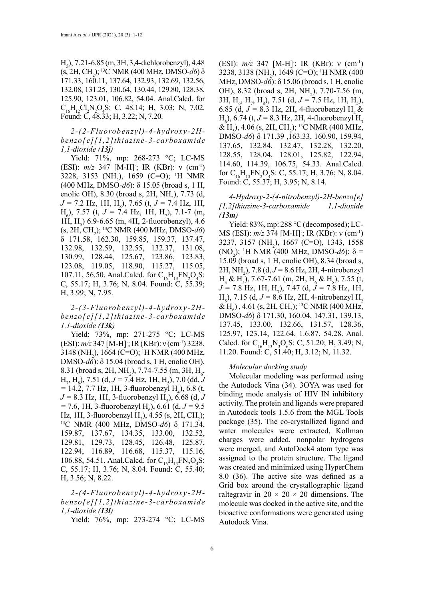$H_5$ ), 7.21-6.85 (m, 3H, 3,4-dichlorobenzyl), 4.48 (s, 2H, CH2 ); 13C NMR (400 MHz, DMSO-*d6*) δ 171.33, 160.11, 137.64, 132.93, 132.69, 132.56, 132.08, 131.25, 130.64, 130.44, 129.80, 128.38, 125.90, 123.01, 106.82, 54.04. Anal.Calcd. for  $C_{16}H_{12}Cl_2N_2O_4S$ : C, 48.14; H, 3.03; N, 7.02. Found: C, 48.33; H, 3.22; N, 7.20.

*2-(2-Fluorobenzyl)-4-hydroxy-2Hbenzo[e][1,2]thiazine-3-carboxamide 1,1-dioxide (13j)*

Yield: 71%, mp: 268-273 °C; LC-MS (ESI): *m/z* 347 [M-H]; IR (KBr): ν (cm<sup>-1</sup>) 3228, 3153 (NH<sub>2</sub>), 1659 (C=O); <sup>1</sup>H NMR (400 MHz, DMSO-*d6*): δ 15.05 (broad s, 1 H, enolic OH), 8.30 (broad s, 2H,  $NH_2$ ), 7.73 (d, *J* = 7.2 Hz, 1H, H<sub>8</sub>), 7.65 (t, *J* = 7.4 Hz, 1H,  $H_6$ ), 7.57 (t, *J* = 7.4 Hz, 1H, H<sub>7</sub>), 7.1-7 (m, 1H,  $H_5$ ) 6.9-6.65 (m, 4H, 2-fluorobenzyl), 4.6 (s, 2H, CH2 ); 13C NMR (400 MHz, DMSO-*d6*) δ 171.58, 162.30, 159.85, 159.37, 137.47, 132.98, 132.59, 132.55, 132.37, 131.08, 130.99, 128.44, 125.67, 123.86, 123.83, 123.08, 119.05, 118.90, 115.27, 115.05, 107.11, 56.50. Anal.Calcd. for  $C_{16}H_{13}FN_2O_4S$ : C, 55.17; H, 3.76; N, 8.04. Found: C, 55.39; H, 3.99; N, 7.95.

*2-(3-Fluorobenzyl)-4-hydroxy-2Hbenzo[e][1,2]thiazine-3-carboxamide 1,1-dioxide (13k)* 

Yield: 73%, mp: 271-275 °C; LC-MS (ESI): *m/z* 347 [M-H]<sup>-</sup>; IR (KBr): ν (cm<sup>-1</sup>) 3238, 3148 (NH<sub>2</sub>), 1664 (C=O); <sup>1</sup>H NMR (400 MHz, DMSO-*d6*): δ 15.04 (broad s, 1 H, enolic OH), 8.31 (broad s, 2H, NH<sub>2</sub>), 7.74-7.55 (m, 3H, H<sub>6</sub>,  $H_{7}$ ,  $H_{8}$ ), 7.51 (d, *J* = 7.4 Hz, 1H, H<sub>5</sub>), 7.0 (dd, *J*  $= 14.2, 7.7$  Hz, 1H, 3-fluorobenzyl H<sub>4</sub>), 6.8 (t,  $J = 8.3$  Hz, 1H, 3-fluorobenzyl H<sub>5</sub>), 6.68 (d, *J*  $= 7.6, 1H, 3-fluorobenzyl H<sub>6</sub>$ ), 6.61 (d,  $J = 9.5$ Hz, 1H, 3-fluorobenzyl H<sub>2</sub>), 4.55 (s, 2H, CH<sub>2</sub> ); 13C NMR (400 MHz, DMSO-*d6*) δ 171.34, 159.87, 137.67, 134.35, 133.00, 132.52, 129.81, 129.73, 128.45, 126.48, 125.87, 122.94, 116.89, 116.68, 115.37, 115.16, 106.88, 54.51. Anal.Calcd. for  $C_{16}H_{13}FN_2O_4S$ : C, 55.17; H, 3.76; N, 8.04. Found: C, 55.40; H, 3.56; N, 8.22.

*2-(4-Fluorobenzyl)-4-hydroxy-2Hbenzo[e][1,2]thiazine-3-carboxamide 1,1-dioxide (13l)* 

Yield: 76%, mp: 273-274 °C; LC-MS

(ESI): *m/z* 347 [M-H]; IR (KBr): ν (cm<sup>-1</sup>) 3238, 3138 (NH<sub>2</sub>), 1649 (C=O); <sup>1</sup>H NMR (400 MHz, DMSO-*d6*): δ 15.06 (broad s, 1 H, enolic OH), 8.32 (broad s, 2H, NH<sub>2</sub>), 7.70-7.56 (m,  $3H, H_6, H_7, H_8$ ), 7.51 (d,  $J = 7.5$  Hz, 1H, H<sub>5</sub>), 6.85 (d,  $J = 8.3$  Hz, 2H, 4-fluorobenzyl H<sub>2</sub> &  $H_6$ ), 6.74 (t, *J* = 8.3 Hz, 2H, 4-fluorobenzyl  $H_3$ & H<sub>5</sub>), 4.06 (s, 2H, CH<sub>2</sub>); <sup>13</sup>C NMR (400 MHz, DMSO-*d6*) δ 171.39 ,163.33, 160.90, 159.94, 137.65, 132.84, 132.47, 132.28, 132.20, 128.55, 128.04, 128.01, 125.82, 122.94, 114.60, 114.39, 106.75, 54.33. Anal.Calcd. for  $C_{16}H_{13}FN_2O_4S$ : C, 55.17; H, 3.76; N, 8.04. Found: C, 55.37; H, 3.95; N, 8.14.

### *4-Hydroxy-2-(4-nitrobenzyl)-2H-benzo[e] [1,2]thiazine-3-carboxamide 1,1-dioxide (13m)*

Yield: 83%, mp: 288 °C (decomposed); LC-MS (ESI): *m/z* 374 [M-H]<sup>-</sup>; IR (KBr): ν (cm<sup>-1</sup>) 3237, 3157 (NH<sub>2</sub>), 1667 (C=O), 1343, 1558 (NO<sub>2</sub>); <sup>1</sup>H NMR (400 MHz, DMSO-*d6*): δ = 15.09 (broad s, 1 H, enolic OH), 8.34 (broad s, 2H, NH2 ), 7.8 (d, *J =* 8.6 Hz, 2H, 4-nitrobenzyl  $H_3 \& H_5$ ), 7.67-7.61 (m, 2H,  $H_6 \& H_8$ ), 7.55 (t, *J =* 7.8 Hz, 1H, H7 ), 7.47 (d, *J =* 7.8 Hz, 1H,  $H_5$ ), 7.15 (d,  $J = 8.6$  Hz, 2H, 4-nitrobenzyl  $H_2$ & H<sub>6</sub>), 4.61 (s, 2H, CH<sub>2</sub>); <sup>13</sup>C NMR (400 MHz, DMSO-*d6*) δ 171.30, 160.04, 147.31, 139.13, 137.45, 133.00, 132.66, 131.57, 128.36, 125.97, 123.14, 122.64, 1.6.87, 54.28. Anal. Calcd. for  $C_{16}H_{13}N_3O_6S$ : C, 51.20; H, 3.49; N, 11.20. Found: C, 51.40; H, 3.12; N, 11.32.

#### *Molecular docking study*

Molecular modeling was performed using the Autodock Vina (34). 3OYA was used for binding mode analysis of HIV IN inhibitory activity. The protein and ligands were prepared in Autodock tools 1.5.6 from the MGL Tools package (35). The co-crystallized ligand and water molecules were extracted, Kollman charges were added, nonpolar hydrogens were merged, and AutoDock4 atom type was assigned to the protein structure. The ligand was created and minimized using HyperChem 8.0 (36). The active site was defined as a Grid box around the crystallographic ligand raltegravir in  $20 \times 20 \times 20$  dimensions. The molecule was docked in the active site, and the bioactive conformations were generated using Autodock Vina.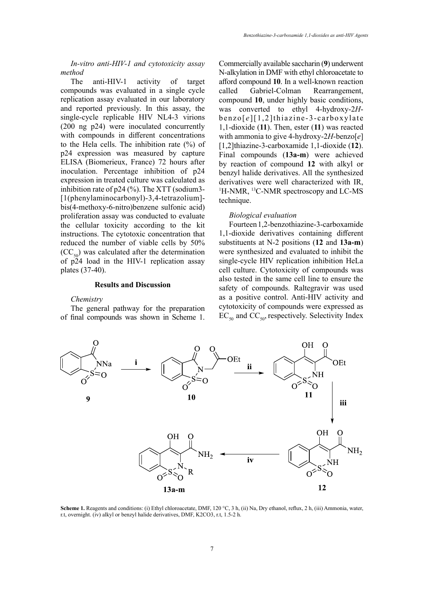*In-vitro anti-HIV-1 and cytotoxicity assay method*

The anti-HIV-1 activity of target compounds was evaluated in a single cycle replication assay evaluated in our laboratory and reported previously. In this assay, the single-cycle replicable HIV NL4-3 virions (200 ng p24) were inoculated concurrently with compounds in different concentrations to the Hela cells. The inhibition rate (%) of p24 expression was measured by capture ELISA (Biomerieux, France) 72 hours after inoculation. Percentage inhibition of p24 expression in treated culture was calculated as inhibition rate of p24 (%). The XTT (sodium3- [1(phenylaminocarbonyl)-3,4-tetrazolium] bis(4-methoxy-6-nitro)benzene sulfonic acid) proliferation assay was conducted to evaluate the cellular toxicity according to the kit instructions. The cytotoxic concentration that reduced the number of viable cells by 50%  $(CC<sub>50</sub>)$  was calculated after the determination of  $p24$  load in the HIV-1 replication assay plates (37-40).

### **Results and Discussion**

#### *Chemistry*

The general pathway for the preparation of final compounds was shown in Scheme 1. Commercially available saccharin (**9**) underwent N-alkylation in DMF with ethyl chloroacetate to afford compound **10**. In a well-known reaction called Gabriel-Colman Rearrangement, compound **10**, under highly basic conditions, was converted to ethyl 4-hydroxy-2*H*benzo[ *e* ][1,2]thiazine-3-carboxylate 1,1-dioxide (**11**). Then, ester (**11**) was reacted with ammonia to give 4-hydroxy-2*H*-benzo[*e*] [1,2]thiazine-3-carboxamide 1,1-dioxide (**12**). Final compounds (**13a-m**) were achieved by reaction of compound **12** with alkyl or benzyl halide derivatives. All the synthesized derivatives were well characterized with IR, <sup>1</sup>H-NMR, <sup>13</sup>C-NMR spectroscopy and LC-MS technique.

### *Biological evaluation*

Fourteen 1,2-benzothiazine-3-carboxamide 1,1-dioxide derivatives containing different substituents at N-2 positions (**12** and **13a-m**) were synthesized and evaluated to inhibit the single-cycle HIV replication inhibition HeLa cell culture. Cytotoxicity of compounds was also tested in the same cell line to ensure the safety of compounds. Raltegravir was used as a positive control. Anti-HIV activity and cytotoxicity of compounds were expressed as  $EC_{50}$  and  $CC_{50}$ , respectively. Selectivity Index



**Scheme 1.** Reagents and conditions: (i) Ethyl chloroacetate, DMF, 120 °C, 3 h, (ii) Na, Dry ethanol, reflux, 2 h, (iii) Ammonia, water, r.t, overnight. (iv) alkyl or benzyl halide derivatives, DMF, K2CO3, r.t, 1.5-2 h.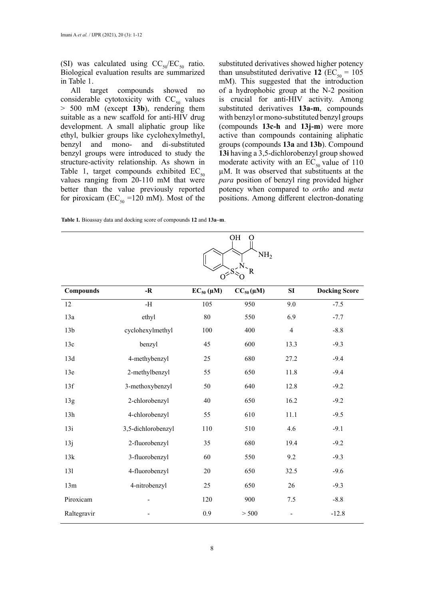(SI) was calculated using  $CC_{50}/EC_{50}$  ratio. Biological evaluation results are summarized in Table 1.

All target compounds showed no considerable cytotoxicity with  $CC_{50}$  values > 500 mM (except **13b**), rendering them suitable as a new scaffold for anti-HIV drug development. A small aliphatic group like ethyl, bulkier groups like cyclohexylmethyl, benzyl and mono- and di-substituted benzyl groups were introduced to study the structure-activity relationship. As shown in Table 1, target compounds exhibited  $EC_{50}$ values ranging from 20-110 mM that were better than the value previously reported for piroxicam ( $EC_{50}$  =120 mM). Most of the substituted derivatives showed higher potency than unsubstituted derivative 12 ( $EC_{50} = 105$ mM). This suggested that the introduction of a hydrophobic group at the N-2 position is crucial for anti-HIV activity. Among substituted derivatives **13a-m**, compounds with benzyl or mono-substituted benzyl groups (compounds **13c-h** and **13j-m**) were more active than compounds containing aliphatic groups (compounds **13a** and **13b**). Compound **13i** having a 3,5-dichlorobenzyl group showed moderate activity with an  $EC_{50}$  value of 110 µM. It was observed that substituents at the *para* position of benzyl ring provided higher potency when compared to *ortho* and *meta*  positions. Among different electron-donating

**Table 1***.* Bioassay data and docking score of compounds **12** and **13a–m**.

| OН |                 |
|----|-----------------|
|    |                 |
|    | NH <sub>2</sub> |
|    |                 |
|    |                 |
| R  |                 |
|    |                 |

| <b>Compounds</b> | $-R$               | $EC_{50}(\mu M)$ | $CC_{50}(\mu M)$ | SI             | <b>Docking Score</b> |
|------------------|--------------------|------------------|------------------|----------------|----------------------|
| 12               | $-H$               | 105              | 950              | 9.0            | $-7.5$               |
| 13a              | ethyl              | $80\,$           | 550              | 6.9            | $-7.7$               |
| 13 <sub>b</sub>  | cyclohexylmethyl   | 100              | 400              | $\overline{4}$ | $-8.8$               |
| 13c              | benzyl             | 45               | 600              | 13.3           | $-9.3$               |
| 13d              | 4-methybenzyl      | 25               | 680              | 27.2           | $-9.4$               |
| 13e              | 2-methylbenzyl     | 55               | 650              | 11.8           | $-9.4$               |
| 13f              | 3-methoxybenzyl    | 50               | 640              | 12.8           | $-9.2$               |
| 13g              | 2-chlorobenzyl     | 40               | 650              | 16.2           | $-9.2$               |
| 13h              | 4-chlorobenzyl     | 55               | 610              | 11.1           | $-9.5$               |
| 13i              | 3,5-dichlorobenzyl | 110              | 510              | 4.6            | $-9.1$               |
| 13j              | 2-fluorobenzyl     | 35               | 680              | 19.4           | $-9.2$               |
| 13k              | 3-fluorobenzyl     | 60               | 550              | 9.2            | $-9.3$               |
| 131              | 4-fluorobenzyl     | $20\,$           | 650              | 32.5           | $-9.6$               |
| 13m              | 4-nitrobenzyl      | 25               | 650              | 26             | $-9.3$               |
| Piroxicam        |                    | 120              | 900              | 7.5            | $-8.8$               |
| Raltegravir      |                    | 0.9              | > 500            |                | $-12.8$              |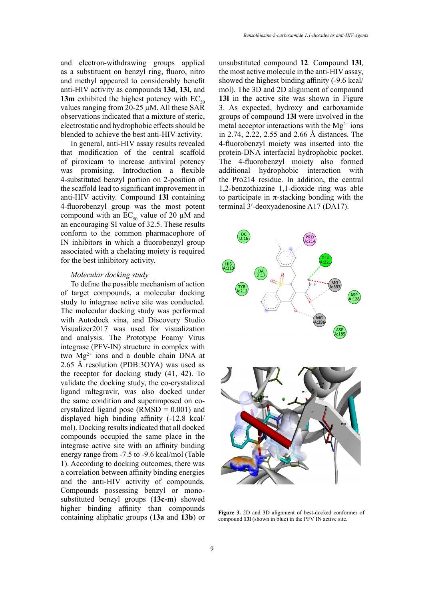and electron-withdrawing groups applied as a substituent on benzyl ring, fluoro, nitro and methyl appeared to considerably benefit anti-HIV activity as compounds **13d**, **13l,** and **13m** exhibited the highest potency with  $EC_{50}$ values ranging from 20-25 µM. All these SAR observations indicated that a mixture of steric, electrostatic and hydrophobic effects should be blended to achieve the best anti-HIV activity.

In general, anti-HIV assay results revealed that modification of the central scaffold of piroxicam to increase antiviral potency was promising. Introduction a flexible 4-substituted benzyl portion on 2-position of the scaffold lead to significant improvement in anti-HIV activity. Compound **13l** containing 4-fluorobenzyl group was the most potent compound with an  $EC_{50}$  value of 20 µM and an encouraging SI value of 32.5. These results conform to the common pharmacophore of IN inhibitors in which a fluorobenzyl group associated with a chelating moiety is required for the best inhibitory activity.

#### *Molecular docking study*

To define the possible mechanism of action of target compounds, a molecular docking study to integrase active site was conducted. The molecular docking study was performed with Autodock vina, and Discovery Studio Visualizer2017 was used for visualization and analysis. The Prototype Foamy Virus integrase (PFV-IN) structure in complex with two Mg<sup>2+</sup> ions and a double chain DNA at 2.65 Å resolution (PDB:3OYA) was used as the receptor for docking study (41, 42). To validate the docking study, the co-crystalized ligand raltegravir, was also docked under the same condition and superimposed on cocrystalized ligand pose ( $RMSD = 0.001$ ) and displayed high binding affinity (-12.8 kcal/ mol). Docking results indicated that all docked compounds occupied the same place in the integrase active site with an affinity binding energy range from -7.5 to -9.6 kcal/mol (Table 1). According to docking outcomes, there was a correlation between affinity binding energies and the anti-HIV activity of compounds. Compounds possessing benzyl or monosubstituted benzyl groups (**13c-m**) showed higher binding affinity than compounds containing aliphatic groups (**13a** and **13b**) or unsubstituted compound **12**. Compound **13l**, the most active molecule in the anti-HIV assay, showed the highest binding affinity (-9.6 kcal/ mol). The 3D and 2D alignment of compound **13l** in the active site was shown in Figure 3. As expected, hydroxy and carboxamide groups of compound **13l** were involved in the metal acceptor interactions with the  $Mg^{2+}$  ions in 2.74, 2.22, 2.55 and 2.66 Å distances. The 4-fluorobenzyl moiety was inserted into the protein-DNA interfacial hydrophobic pocket. The 4-fluorobenzyl moiety also formed additional hydrophobic interaction with the Pro214 residue. In addition, the central 1,2-benzothiazine 1,1-dioxide ring was able to participate in  $\pi$ -stacking bonding with the terminal 3′-deoxyadenosine A17 (DA17).



**Figure 3.** 2D and 3D alignment of best-docked conformer of compound **13l** (shown in blue) in the PFV IN active site.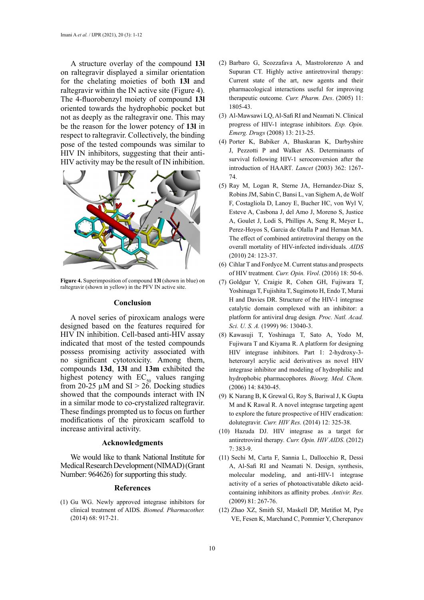A structure overlay of the compound **13l**  on raltegravir displayed a similar orientation for the chelating moieties of both **13l** and raltegravir within the IN active site (Figure 4). The 4-fluorobenzyl moiety of compound **13l** oriented towards the hydrophobic pocket but not as deeply as the raltegravir one. This may be the reason for the lower potency of **13l** in respect to raltegravir. Collectively, the binding pose of the tested compounds was similar to HIV IN inhibitors, suggesting that their anti-HIV activity may be the result of IN inhibition.



**Figure 4.** Superimposition of compound **13l** (shown in blue) on raltegravir (shown in yellow) in the PFV IN active site.

#### **Conclusion**

A novel series of piroxicam analogs were designed based on the features required for HIV IN inhibition. Cell-based anti-HIV assay indicated that most of the tested compounds possess promising activity associated with no significant cytotoxicity. Among them, compounds **13d**, **13l** and **13m** exhibited the highest potency with  $EC_{50}$  values ranging from 20-25  $\mu$ M and SI > 26. Docking studies showed that the compounds interact with IN in a similar mode to co-crystalized raltegravir. These findings prompted us to focus on further modifications of the piroxicam scaffold to increase antiviral activity.

#### **Acknowledgments**

We would like to thank National Institute for Medical Research Development (NIMAD) (Grant Number: 964626) for supporting this study.

#### **References**

(1) Gu WG. Newly approved integrase inhibitors for clinical treatment of AIDS*. Biomed. Pharmacother.* (2014) 68: 917-21.

- (2) Barbaro G, Scozzafava A, Mastrolorenzo A and Supuran CT. Highly active antiretroviral therapy: Current state of the art, new agents and their pharmacological interactions useful for improving therapeutic outcome*. Curr. Pharm. Des*. (2005) 11: 1805-43.
- (3) Al-Mawsawi LQ, Al-Safi RI and Neamati N. Clinical progress of HIV-1 integrase inhibitors*. Exp. Opin. Emerg. Drugs* (2008) 13: 213-25.
- (4) Porter K, Babiker A, Bhaskaran K, Darbyshire J, Pezzotti P and Walker AS. Determinants of survival following HIV-1 seroconversion after the introduction of HAART*. Lancet* (2003) 362: 1267- 74.
- (5) Ray M, Logan R, Sterne JA, Hernandez-Diaz S, Robins JM, Sabin C, Bansi L, van Sighem A, de Wolf F, Costagliola D, Lanoy E, Bucher HC, von Wyl V, Esteve A, Casbona J, del Amo J, Moreno S, Justice A, Goulet J, Lodi S, Phillips A, Seng R, Meyer L, Perez-Hoyos S, Garcia de Olalla P and Hernan MA. The effect of combined antiretroviral therapy on the overall mortality of HIV-infected individuals*. AIDS* (2010) 24: 123-37.
- (6) Cihlar T and Fordyce M. Current status and prospects of HIV treatment*. Curr. Opin. Virol*. (2016) 18: 50-6.
- (7) Goldgur Y, Craigie R, Cohen GH, Fujiwara T, Yoshinaga T, Fujishita T, Sugimoto H, Endo T, Murai H and Davies DR. Structure of the HIV-1 integrase catalytic domain complexed with an inhibitor: a platform for antiviral drug design*. Proc. Natl. Acad. Sci. U. S. A.* (1999) 96: 13040-3.
- (8) Kawasuji T, Yoshinaga T, Sato A, Yodo M, Fujiwara T and Kiyama R. A platform for designing HIV integrase inhibitors. Part 1: 2-hydroxy-3 heteroaryl acrylic acid derivatives as novel HIV integrase inhibitor and modeling of hydrophilic and hydrophobic pharmacophores*. Bioorg. Med. Chem.* (2006) 14: 8430-45.
- (9) K Narang B, K Grewal G, Roy S, Bariwal J, K Gupta M and K Rawal R. A novel integrase targeting agent to explore the future prospective of HIV eradication: dolutegravir*. Curr. HIV Res.* (2014) 12: 325-38.
- (10) Hazuda DJ. HIV integrase as a target for antiretroviral therapy*. Curr. Opin. HIV AIDS*. (2012) 7: 383-9.
- (11) Sechi M, Carta F, Sannia L, Dallocchio R, Dessì A, Al-Safi RI and Neamati N. Design, synthesis, molecular modeling, and anti-HIV-1 integrase activity of a series of photoactivatable diketo acidcontaining inhibitors as affinity probes*. Antivir. Res.* (2009) 81: 267-76.
- (12) Zhao XZ, Smith SJ, Maskell DP, Metifiot M, Pye VE, Fesen K, Marchand C, Pommier Y, Cherepanov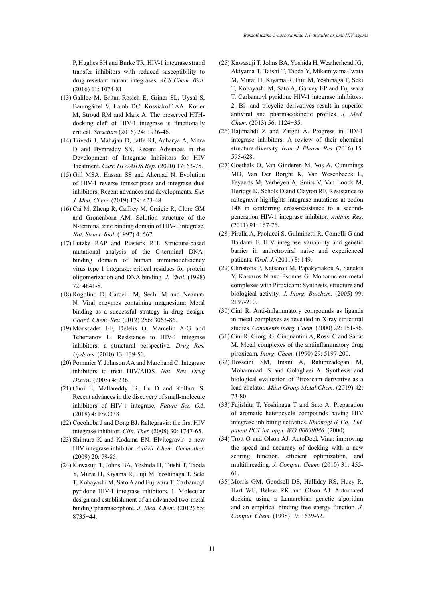P, Hughes SH and Burke TR. HIV-1 integrase strand transfer inhibitors with reduced susceptibility to drug resistant mutant integrases*. ACS Chem. Biol*. (2016) 11: 1074-81.

- (13) Galilee M, Britan-Rosich E, Griner SL, Uysal S, Baumgärtel V, Lamb DC, Kossiakoff AA, Kotler M, Stroud RM and Marx A. The preserved HTHdocking cleft of HIV-1 integrase is functionally critical*. Structure* (2016) 24: 1936-46.
- (14) Trivedi J, Mahajan D, Jaffe RJ, Acharya A, Mitra D and Byrareddy SN. Recent Advances in the Development of Integrase Inhibitors for HIV Treatment*. Curr. HIV/AIDS Rep*. (2020) 17: 63-75.
- (15) Gill MSA, Hassan SS and Ahemad N. Evolution of HIV-1 reverse transcriptase and integrase dual inhibitors: Recent advances and developments*. Eur. J. Med. Chem.* (2019) 179: 423-48.
- (16) Cai M, Zheng R, Caffrey M, Craigie R, Clore GM and Gronenborn AM. Solution structure of the N-terminal zinc binding domain of HIV-1 integrase*. Nat. Struct. Biol.* (1997) 4: 567.
- (17) Lutzke RAP and Plasterk RH. Structure-based mutational analysis of the C-terminal DNAbinding domain of human immunodeficiency virus type 1 integrase: critical residues for protein oligomerization and DNA binding*. J. Virol.* (1998) 72: 4841-8.
- (18) Rogolino D, Carcelli M, Sechi M and Neamati N. Viral enzymes containing magnesium: Metal binding as a successful strategy in drug design*. Coord. Chem. Rev.* (2012) 256: 3063-86.
- (19) Mouscadet J-F, Delelis O, Marcelin A-G and Tchertanov L. Resistance to HIV-1 integrase inhibitors: a structural perspective*. Drug Res. Updates*. (2010) 13: 139-50.
- (20) Pommier Y, Johnson AA and Marchand C. Integrase inhibitors to treat HIV/AIDS*. Nat. Rev. Drug Discov.* (2005) 4: 236.
- (21) Choi E, Mallareddy JR, Lu D and Kolluru S. Recent advances in the discovery of small-molecule inhibitors of HIV-1 integrase*. Future Sci. OA*. (2018) 4: FSO338.
- (22) Cocohoba J and Dong BJ. Raltegravir: the first HIV integrase inhibitor*. Clin. Ther.* (2008) 30: 1747-65.
- (23) Shimura K and Kodama EN. Elvitegravir: a new HIV integrase inhibitor*. Antivir. Chem. Chemother.*  (2009) 20: 79-85.
- (24) Kawasuji T, Johns BA, Yoshida H, Taishi T, Taoda Y, Murai H, Kiyama R, Fuji M, Yoshinaga T, Seki T, Kobayashi M, Sato A and Fujiwara T. Carbamoyl pyridone HIV-1 integrase inhibitors. 1. Molecular design and establishment of an advanced two-metal binding pharmacophore*. J. Med. Chem.* (2012) 55: 8735−44.
- (25) Kawasuji T, Johns BA, Yoshida H, Weatherhead JG, Akiyama T, Taishi T, Taoda Y, Mikamiyama-Iwata M, Murai H, Kiyama R, Fuji M, Yoshinaga T, Seki T, Kobayashi M, Sato A, Garvey EP and Fujiwara T. Carbamoyl pyridone HIV-1 integrase inhibitors. 2. Bi- and tricyclic derivatives result in superior antiviral and pharmacokinetic profiles*. J. Med. Chem.* (2013) 56: 1124−35.
- (26) Hajimahdi Z and Zarghi A. Progress in HIV-1 integrase inhibitors: A review of their chemical structure diversity*. Iran. J. Pharm. Res.* (2016) 15: 595-628.
- (27) Goethals O, Van Ginderen M, Vos A, Cummings MD, Van Der Borght K, Van Wesenbeeck L, Feyaerts M, Verheyen A, Smits V, Van Loock M, Hertogs K, Schols D and Clayton RF. Resistance to raltegravir highlights integrase mutations at codon 148 in conferring cross-resistance to a secondgeneration HIV-1 integrase inhibitor*. Antivir. Res*. (2011) 91: 167-76.
- (28) Piralla A, Paolucci S, Gulminetti R, Comolli G and Baldanti F. HIV integrase variability and genetic barrier in antiretroviral naive and experienced patients*. Virol. J*. (2011) 8: 149.
- (29) Christofis P, Katsarou M, Papakyriakou A, Sanakis Y, Katsaros N and Psomas G. Mononuclear metal complexes with Piroxicam: Synthesis, structure and biological activity*. J. Inorg. Biochem.* (2005) 99: 2197-210.
- (30) Cini R. Anti-inflammatory compounds as ligands in metal complexes as revealed in X-ray structural studies*. Comments Inorg. Chem.* (2000) 22: 151-86.
- (31) Cini R, Giorgi G, Cinquantini A, Rossi C and Sabat M. Metal complexes of the antiinflammatory drug piroxicam*. Inorg. Chem.* (1990) 29: 5197-200.
- (32) Hosseini SM, Imani A, Rahimzadegan M, Mohammadi S and Golaghaei A. Synthesis and biological evaluation of Piroxicam derivative as a lead chelator*. Main Group Metal Chem.* (2019) 42: 73-80.
- (33) Fujishita T, Yoshinaga T and Sato A. Preparation of aromatic heterocycle compounds having HIV integrase inhibiting activities*. Shionogi & Co., Ltd. patent PCT int. appl. WO-00039086*. (2000)
- (34) Trott O and Olson AJ. AutoDock Vina: improving the speed and accuracy of docking with a new scoring function, efficient optimization, and multithreading*. J. Comput. Chem*. (2010) 31: 455- 61.
- (35) Morris GM, Goodsell DS, Halliday RS, Huey R, Hart WE, Belew RK and Olson AJ. Automated docking using a Lamarckian genetic algorithm and an empirical binding free energy function*. J. Comput. Chem.* (1998) 19: 1639-62.